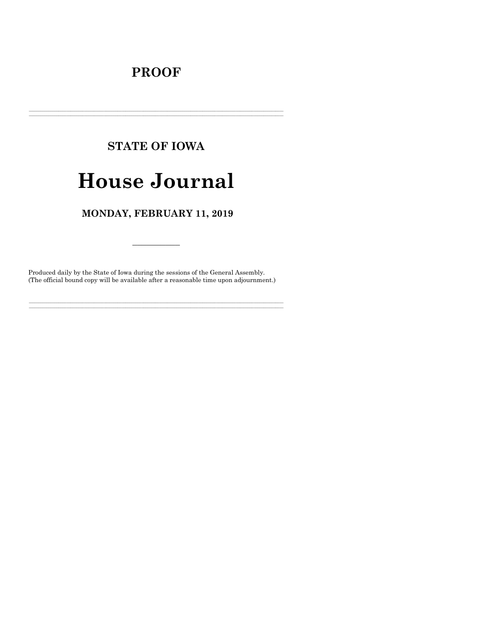# **PROOF**

# **STATE OF IOWA**

# **House Journal**

# MONDAY, FEBRUARY 11, 2019

Produced daily by the State of Iowa during the sessions of the General Assembly. (The official bound copy will be available after a reasonable time upon adjournment.)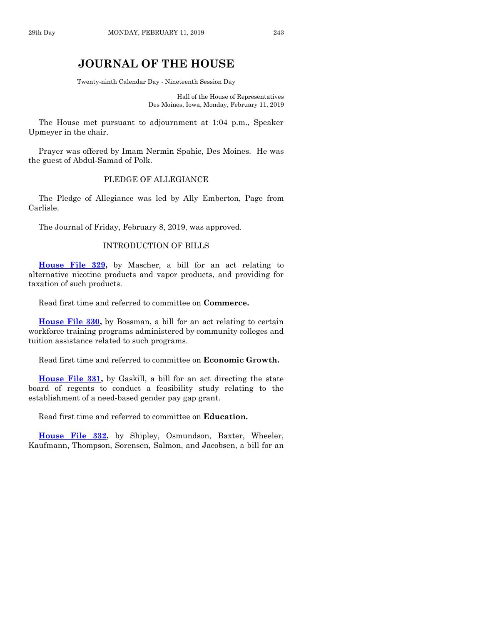# **JOURNAL OF THE HOUSE**

Twenty-ninth Calendar Day - Nineteenth Session Day

Hall of the House of Representatives Des Moines, Iowa, Monday, February 11, 2019

The House met pursuant to adjournment at 1:04 p.m., Speaker Upmeyer in the chair.

Prayer was offered by Imam Nermin Spahic, Des Moines. He was the guest of Abdul-Samad of Polk.

#### PLEDGE OF ALLEGIANCE

The Pledge of Allegiance was led by Ally Emberton, Page from Carlisle.

The Journal of Friday, February 8, 2019, was approved.

#### INTRODUCTION OF BILLS

**[House File 329,](https://www.legis.iowa.gov/legislation/BillBook?ga=88&ba=HF329)** by Mascher, a bill for an act relating to alternative nicotine products and vapor products, and providing for taxation of such products.

Read first time and referred to committee on **Commerce.**

**[House File 330,](https://www.legis.iowa.gov/legislation/BillBook?ga=88&ba=HF330)** by Bossman, a bill for an act relating to certain workforce training programs administered by community colleges and tuition assistance related to such programs.

Read first time and referred to committee on **Economic Growth.**

**[House File 331,](https://www.legis.iowa.gov/legislation/BillBook?ga=88&ba=HF331)** by Gaskill, a bill for an act directing the state board of regents to conduct a feasibility study relating to the establishment of a need-based gender pay gap grant.

Read first time and referred to committee on **Education.**

**[House File 332,](https://www.legis.iowa.gov/legislation/BillBook?ga=88&ba=HF332)** by Shipley, Osmundson, Baxter, Wheeler, Kaufmann, Thompson, Sorensen, Salmon, and Jacobsen, a bill for an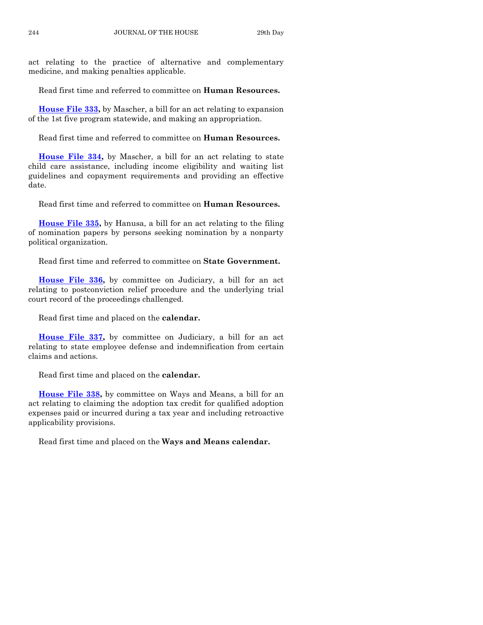act relating to the practice of alternative and complementary medicine, and making penalties applicable.

Read first time and referred to committee on **Human Resources.**

**[House File 333,](https://www.legis.iowa.gov/legislation/BillBook?ga=88&ba=HF333)** by Mascher, a bill for an act relating to expansion of the 1st five program statewide, and making an appropriation.

Read first time and referred to committee on **Human Resources.**

**[House File 334,](https://www.legis.iowa.gov/legislation/BillBook?ga=88&ba=HF334)** by Mascher, a bill for an act relating to state child care assistance, including income eligibility and waiting list guidelines and copayment requirements and providing an effective date.

Read first time and referred to committee on **Human Resources.**

**[House File 335,](https://www.legis.iowa.gov/legislation/BillBook?ga=88&ba=HF335)** by Hanusa, a bill for an act relating to the filing of nomination papers by persons seeking nomination by a nonparty political organization.

Read first time and referred to committee on **State Government.**

**[House File 336,](https://www.legis.iowa.gov/legislation/BillBook?ga=88&ba=HF336)** by committee on Judiciary, a bill for an act relating to postconviction relief procedure and the underlying trial court record of the proceedings challenged.

Read first time and placed on the **calendar.**

**[House File 337,](https://www.legis.iowa.gov/legislation/BillBook?ga=88&ba=HF337)** by committee on Judiciary, a bill for an act relating to state employee defense and indemnification from certain claims and actions.

Read first time and placed on the **calendar.**

**[House File 338,](https://www.legis.iowa.gov/legislation/BillBook?ga=88&ba=HF338)** by committee on Ways and Means, a bill for an act relating to claiming the adoption tax credit for qualified adoption expenses paid or incurred during a tax year and including retroactive applicability provisions.

Read first time and placed on the **Ways and Means calendar.**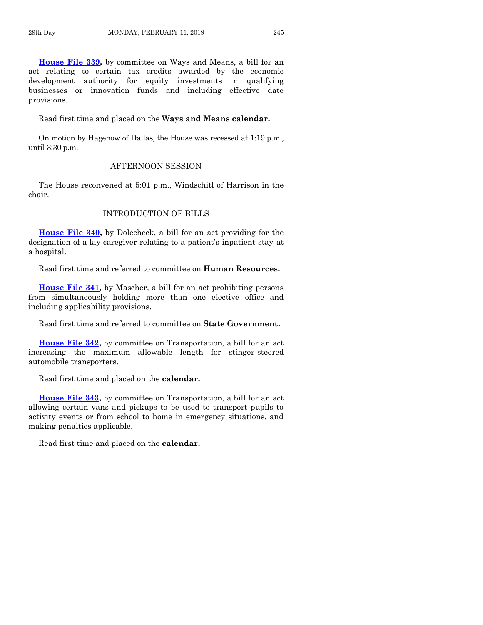**[House File 339,](https://www.legis.iowa.gov/legislation/BillBook?ga=88&ba=HF339)** by committee on Ways and Means, a bill for an act relating to certain tax credits awarded by the economic development authority for equity investments in qualifying businesses or innovation funds and including effective date provisions.

Read first time and placed on the **Ways and Means calendar.**

On motion by Hagenow of Dallas, the House was recessed at 1:19 p.m., until 3:30 p.m.

#### AFTERNOON SESSION

The House reconvened at 5:01 p.m., Windschitl of Harrison in the chair.

# INTRODUCTION OF BILLS

**[House File 340,](https://www.legis.iowa.gov/legislation/BillBook?ga=88&ba=HF340)** by Dolecheck, a bill for an act providing for the designation of a lay caregiver relating to a patient's inpatient stay at a hospital.

Read first time and referred to committee on **Human Resources.**

**[House File 341,](https://www.legis.iowa.gov/legislation/BillBook?ga=88&ba=HF341)** by Mascher, a bill for an act prohibiting persons from simultaneously holding more than one elective office and including applicability provisions.

Read first time and referred to committee on **State Government.**

**[House File 342,](https://www.legis.iowa.gov/legislation/BillBook?ga=88&ba=HF342)** by committee on Transportation, a bill for an act increasing the maximum allowable length for stinger-steered automobile transporters.

Read first time and placed on the **calendar.**

**[House File 343,](https://www.legis.iowa.gov/legislation/BillBook?ga=88&ba=HF343)** by committee on Transportation, a bill for an act allowing certain vans and pickups to be used to transport pupils to activity events or from school to home in emergency situations, and making penalties applicable.

Read first time and placed on the **calendar.**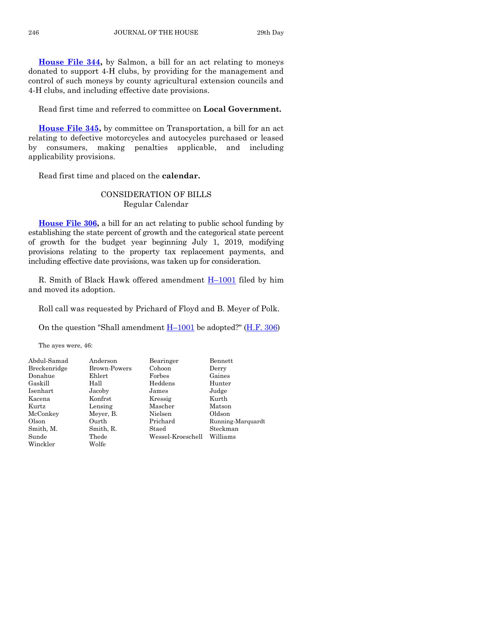**[House File 344,](https://www.legis.iowa.gov/legislation/BillBook?ga=88&ba=HF344)** by Salmon, a bill for an act relating to moneys donated to support 4-H clubs, by providing for the management and control of such moneys by county agricultural extension councils and 4-H clubs, and including effective date provisions.

Read first time and referred to committee on **Local Government.**

**[House File 345,](https://www.legis.iowa.gov/legislation/BillBook?ga=88&ba=HF345)** by committee on Transportation, a bill for an act relating to defective motorcycles and autocycles purchased or leased by consumers, making penalties applicable, and including applicability provisions.

Read first time and placed on the **calendar.**

# CONSIDERATION OF BILLS Regular Calendar

**[House File 306,](https://www.legis.iowa.gov/legislation/BillBook?ga=88&ba=HF306)** a bill for an act relating to public school funding by establishing the state percent of growth and the categorical state percent of growth for the budget year beginning July 1, 2019, modifying provisions relating to the property tax replacement payments, and including effective date provisions, was taken up for consideration.

R. Smith of Black Hawk offered amendment  $H-1001$  $H-1001$  filed by him and moved its adoption.

Roll call was requested by Prichard of Floyd and B. Meyer of Polk.

On the question "Shall amendment  $H-1001$  $H-1001$  be adopted?" [\(H.F. 306\)](https://www.legis.iowa.gov/legislation/BillBook?ga=88&ba=HF306)

The ayes were, 46:

| Abdul-Samad  | Anderson     | Bearinger         | Bennett           |
|--------------|--------------|-------------------|-------------------|
| Breckenridge | Brown-Powers | Cohoon            | Derry             |
| Donahue      | Ehlert       | $\rm{Forbes}$     | Gaines            |
| Gaskill      | Hall         | Heddens           | Hunter            |
| Isenhart     | Jacoby       | James             | Judge             |
| Kacena       | Konfrst      | Kressig           | Kurth             |
| Kurtz        | Lensing      | Mascher           | Matson            |
| McConkey     | Meyer, B.    | Nielsen           | Oldson            |
| Olson        | Ourth        | Prichard          | Running-Marquardt |
| Smith, M.    | Smith, R.    | Staed             | Steckman          |
| Sunde        | Thede        | Wessel-Kroeschell | Williams          |
| Winckler     | Wolfe        |                   |                   |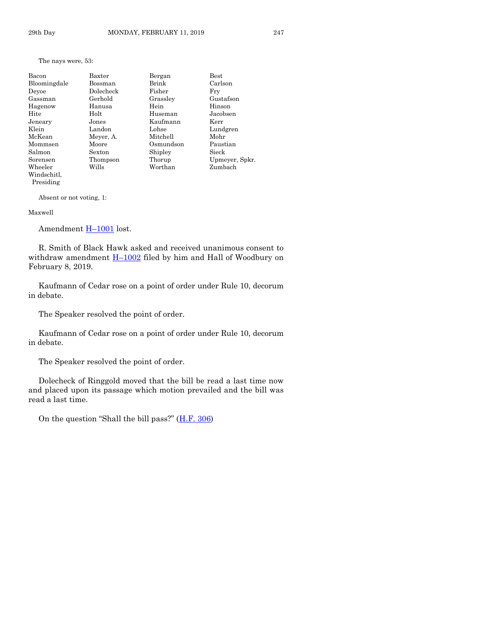#### The nays were, 53:

| Bacon        | Baxter    | Bergan    | $_{\rm Best}$  |
|--------------|-----------|-----------|----------------|
| Bloomingdale | Bossman   | Brink     | Carlson        |
| Deyoe        | Dolecheck | Fisher    | Frv            |
| Gassman      | Gerhold   | Grassley  | Gustafson      |
| Hagenow      | Hanusa    | Hein      | Hinson         |
| Hite         | Holt      | Huseman   | Jacobsen       |
| Jeneary      | Jones     | Kaufmann  | Kerr           |
| Klein        | Landon    | Lohse     | Lundgren       |
| McKean       | Meyer, A. | Mitchell  | Mohr           |
| Mommsen      | Moore     | Osmundson | Paustian       |
| Salmon       | Sexton    | Shipley   | Sieck          |
| Sorensen     | Thompson  | Thorup    | Upmeyer, Spkr. |
| Wheeler      | Wills     | Worthan   | Zumbach        |
| Windschitl.  |           |           |                |

Absent or not voting, 1:

#### Maxwell

Presiding

Amendment H-[1001](https://www.legis.iowa.gov/legislation/BillBook?ga=88&ba=H1001) lost.

R. Smith of Black Hawk asked and received unanimous consent to withdraw amendment  $H-1002$  $H-1002$  filed by him and Hall of Woodbury on February 8, 2019.

Kaufmann of Cedar rose on a point of order under Rule 10, decorum in debate.

The Speaker resolved the point of order.

Kaufmann of Cedar rose on a point of order under Rule 10, decorum in debate.

The Speaker resolved the point of order.

Dolecheck of Ringgold moved that the bill be read a last time now and placed upon its passage which motion prevailed and the bill was read a last time.

On the question "Shall the bill pass?"  $(H.F. 306)$  $(H.F. 306)$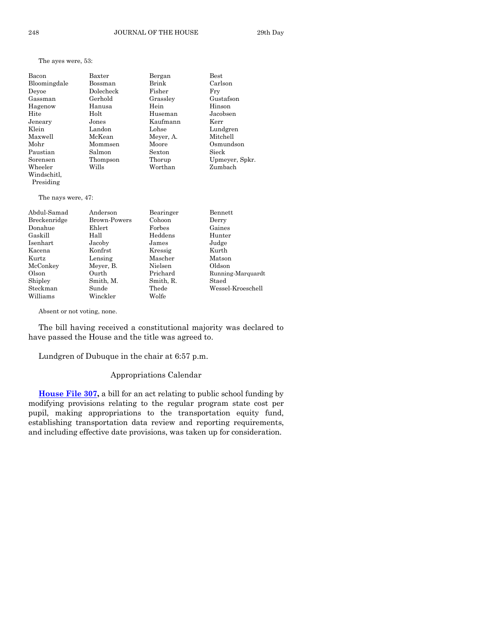The ayes were, 53:

| Bacon        | Baxter    | Bergan    | <b>Best</b>    |
|--------------|-----------|-----------|----------------|
| Bloomingdale | Bossman   | Brink     | Carlson        |
| Deyoe        | Dolecheck | Fisher    | Frv            |
| Gassman      | Gerhold   | Grassley  | Gustafson      |
| Hagenow      | Hanusa    | Hein      | Hinson         |
| Hite         | Holt      | Huseman   | Jacobsen       |
| Jeneary      | Jones     | Kaufmann  | Kerr           |
| Klein        | Landon    | Lohse     | Lundgren       |
| Maxwell      | McKean    | Meyer, A. | Mitchell       |
| Mohr         | Mommsen   | Moore     | Osmundson      |
| Paustian     | Salmon    | Sexton    | Sieck          |
| Sorensen     | Thompson  | Thorup    | Upmeyer, Spkr. |
| Wheeler      | Wills     | Worthan   | Zumbach        |
| Windschitl.  |           |           |                |
| Presiding    |           |           |                |
|              |           |           |                |

The nays were, 47:

| Abdul-Samad  | Anderson            | Bearinger | Bennett           |
|--------------|---------------------|-----------|-------------------|
| Breckenridge | <b>Brown-Powers</b> | Cohoon    | Derry             |
| Donahue      | Ehlert              | Forbes    | Gaines            |
| Gaskill      | Hall                | Heddens   | Hunter            |
| Isenhart     | Jacoby              | James     | Judge             |
| Kacena       | Konfrst             | Kressig   | Kurth             |
| Kurtz        | Lensing             | Mascher   | Matson            |
| McConkey     | Meyer, B.           | Nielsen   | Oldson            |
| Olson        | Ourth               | Prichard  | Running-Marquardt |
| Shipley      | Smith, M.           | Smith, R. | Staed             |
| Steckman     | Sunde               | Thede     | Wessel-Kroeschell |
| Williams     | Winckler            | Wolfe     |                   |

Absent or not voting, none.

The bill having received a constitutional majority was declared to have passed the House and the title was agreed to.

Lundgren of Dubuque in the chair at 6:57 p.m.

#### Appropriations Calendar

**[House File 307,](https://www.legis.iowa.gov/legislation/BillBook?ga=88&ba=HF307)** a bill for an act relating to public school funding by modifying provisions relating to the regular program state cost per pupil, making appropriations to the transportation equity fund, establishing transportation data review and reporting requirements, and including effective date provisions, was taken up for consideration.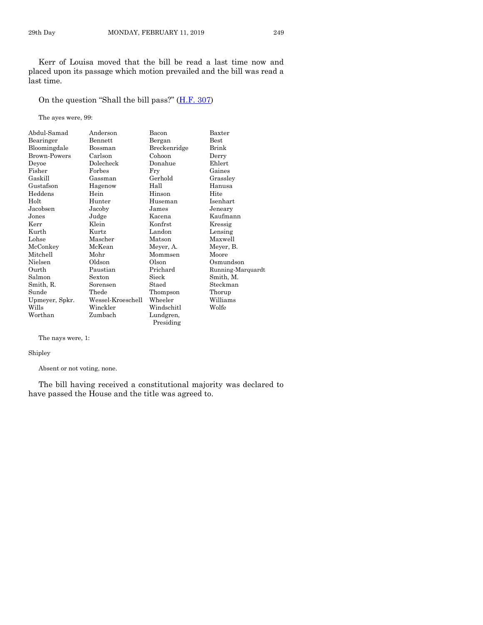Kerr of Louisa moved that the bill be read a last time now and placed upon its passage which motion prevailed and the bill was read a last time.

On the question "Shall the bill pass?" ([H.F. 307\)](https://www.legis.iowa.gov/legislation/BillBook?ga=88&ba=HF307)

The ayes were, 99:

| Abdul-Samad         | Anderson          | Bacon        | Baxter            |
|---------------------|-------------------|--------------|-------------------|
| Bearinger           | <b>Bennett</b>    | Bergan       | <b>Best</b>       |
| Bloomingdale        | Bossman           | Breckenridge | Brink             |
| <b>Brown-Powers</b> | Carlson           | Cohoon       | Derry             |
| Deyoe               | Dolecheck         | Donahue      | Ehlert            |
| Fisher              | Forbes            | Fry          | Gaines            |
| Gaskill             | Gassman           | Gerhold      | Grassley          |
| Gustafson           | Hagenow           | Hall         | Hanusa            |
| Heddens             | Hein              | Hinson       | Hite              |
| Holt                | Hunter            | Huseman      | Isenhart          |
| Jacobsen            | Jacoby            | James        | Jeneary           |
| Jones               | Judge             | Kacena       | Kaufmann          |
| Kerr                | Klein             | Konfrst      | Kressig           |
| Kurth               | Kurtz             | Landon       | Lensing           |
| Lohse               | Mascher           | Matson       | Maxwell           |
| McConkey            | McKean            | Meyer, A.    | Meyer, B.         |
| Mitchell            | Mohr              | Mommsen      | Moore             |
| Nielsen             | Oldson            | Olson        | Osmundson         |
| Ourth               | Paustian          | Prichard     | Running-Marquardt |
| Salmon              | Sexton            | Sieck        | Smith, M.         |
| Smith, R.           | Sorensen          | Staed        | Steckman          |
| Sunde               | Thede             | Thompson     | Thorup            |
| Upmeyer, Spkr.      | Wessel-Kroeschell | Wheeler      | Williams          |
| Wills               | Winckler          | Windschitl   | Wolfe             |
| Worthan             | Zumbach           | Lundgren,    |                   |
|                     |                   | Presiding    |                   |

The nays were, 1:

Shipley

Absent or not voting, none.

The bill having received a constitutional majority was declared to have passed the House and the title was agreed to.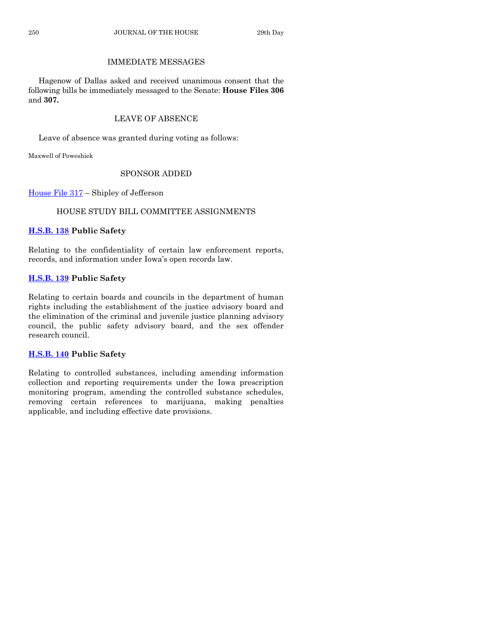# IMMEDIATE MESSAGES

Hagenow of Dallas asked and received unanimous consent that the following bills be immediately messaged to the Senate: **House Files 306** and **307.**

# LEAVE OF ABSENCE

Leave of absence was granted during voting as follows:

Maxwell of Poweshiek

# SPONSOR ADDED

[House File 317](https://www.legis.iowa.gov/legislation/BillBook?ga=88&ba=HF317) – Shipley of Jefferson

# HOUSE STUDY BILL COMMITTEE ASSIGNMENTS

# **[H.S.B. 138](https://www.legis.iowa.gov/legislation/BillBook?ga=88&ba=HSB138) Public Safety**

Relating to the confidentiality of certain law enforcement reports, records, and information under Iowa's open records law.

# **[H.S.B. 139](https://www.legis.iowa.gov/legislation/BillBook?ga=88&ba=HSB139) Public Safety**

Relating to certain boards and councils in the department of human rights including the establishment of the justice advisory board and the elimination of the criminal and juvenile justice planning advisory council, the public safety advisory board, and the sex offender research council.

# **[H.S.B. 140](https://www.legis.iowa.gov/legislation/BillBook?ga=88&ba=HSB140) Public Safety**

Relating to controlled substances, including amending information collection and reporting requirements under the Iowa prescription monitoring program, amending the controlled substance schedules, removing certain references to marijuana, making penalties applicable, and including effective date provisions.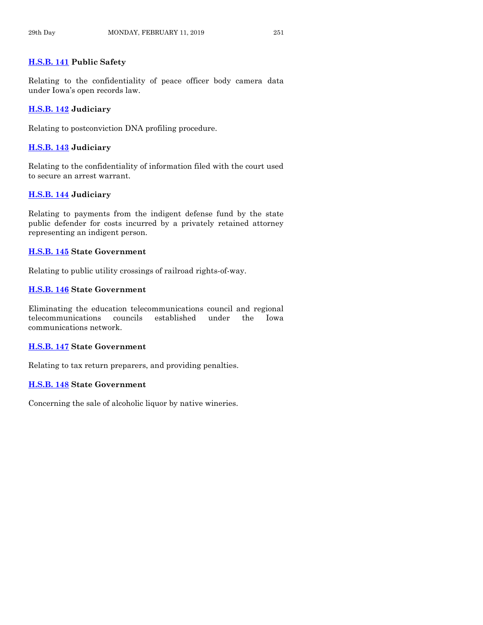# **[H.S.B. 141](https://www.legis.iowa.gov/legislation/BillBook?ga=88&ba=HSB141) Public Safety**

Relating to the confidentiality of peace officer body camera data under Iowa's open records law.

# **[H.S.B. 142](https://www.legis.iowa.gov/legislation/BillBook?ga=88&ba=HSB142) Judiciary**

Relating to postconviction DNA profiling procedure.

# **[H.S.B. 143](https://www.legis.iowa.gov/legislation/BillBook?ga=88&ba=HSB143) Judiciary**

Relating to the confidentiality of information filed with the court used to secure an arrest warrant.

# **[H.S.B. 144](https://www.legis.iowa.gov/legislation/BillBook?ga=88&ba=HSB144) Judiciary**

Relating to payments from the indigent defense fund by the state public defender for costs incurred by a privately retained attorney representing an indigent person.

# **[H.S.B. 145](https://www.legis.iowa.gov/legislation/BillBook?ga=88&ba=HSB145) State Government**

Relating to public utility crossings of railroad rights-of-way.

# **[H.S.B. 146](https://www.legis.iowa.gov/legislation/BillBook?ga=88&ba=HSB146) State Government**

Eliminating the education telecommunications council and regional telecommunications councils established under the Iowa communications network.

# **[H.S.B. 147](https://www.legis.iowa.gov/legislation/BillBook?ga=88&ba=HSB147) State Government**

Relating to tax return preparers, and providing penalties.

# **[H.S.B. 148](https://www.legis.iowa.gov/legislation/BillBook?ga=88&ba=HSB148) State Government**

Concerning the sale of alcoholic liquor by native wineries.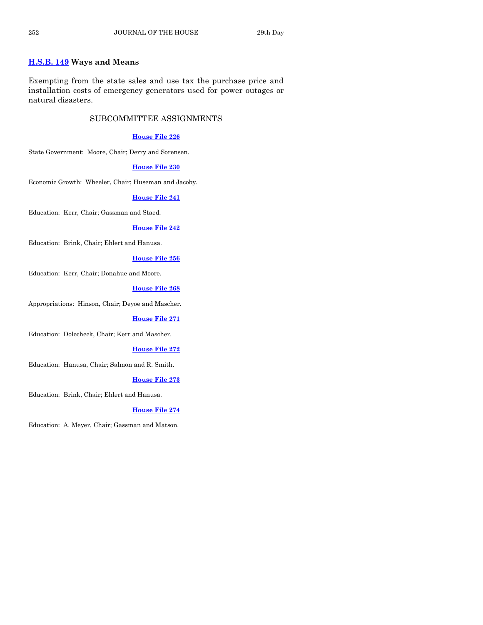# **[H.S.B. 149](https://www.legis.iowa.gov/legislation/BillBook?ga=88&ba=HSB149) Ways and Means**

Exempting from the state sales and use tax the purchase price and installation costs of emergency generators used for power outages or natural disasters.

# SUBCOMMITTEE ASSIGNMENTS

#### **[House File 226](https://www.legis.iowa.gov/legislation/BillBook?ga=88&ba=HF226)**

State Government: Moore, Chair; Derry and Sorensen.

#### **[House File 230](https://www.legis.iowa.gov/legislation/BillBook?ga=88&ba=HF230)**

Economic Growth: Wheeler, Chair; Huseman and Jacoby.

#### **[House File 241](https://www.legis.iowa.gov/legislation/BillBook?ga=88&ba=HF241)**

Education: Kerr, Chair; Gassman and Staed.

#### **[House File 242](https://www.legis.iowa.gov/legislation/BillBook?ga=88&ba=HF242)**

Education: Brink, Chair; Ehlert and Hanusa.

## **[House File 256](https://www.legis.iowa.gov/legislation/BillBook?ga=88&ba=HF256)**

Education: Kerr, Chair; Donahue and Moore.

#### **[House File 268](https://www.legis.iowa.gov/legislation/BillBook?ga=88&ba=HF268)**

Appropriations: Hinson, Chair; Deyoe and Mascher.

#### **[House File 271](https://www.legis.iowa.gov/legislation/BillBook?ga=88&ba=HF271)**

Education: Dolecheck, Chair; Kerr and Mascher.

#### **[House File 272](https://www.legis.iowa.gov/legislation/BillBook?ga=88&ba=HF272)**

Education: Hanusa, Chair; Salmon and R. Smith.

#### **[House File 273](https://www.legis.iowa.gov/legislation/BillBook?ga=88&ba=HF273)**

Education: Brink, Chair; Ehlert and Hanusa.

#### **[House File 274](https://www.legis.iowa.gov/legislation/BillBook?ga=88&ba=HF274)**

Education: A. Meyer, Chair; Gassman and Matson.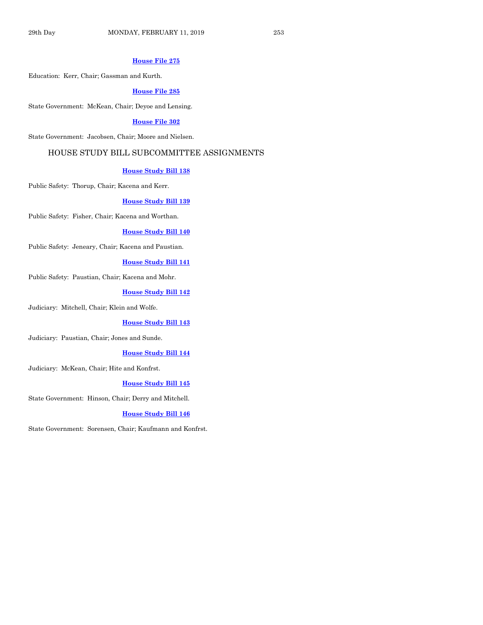#### **[House File 275](https://www.legis.iowa.gov/legislation/BillBook?ga=88&ba=HF275)**

Education: Kerr, Chair; Gassman and Kurth.

#### **[House File 285](https://www.legis.iowa.gov/legislation/BillBook?ga=88&ba=HF285)**

State Government: McKean, Chair; Deyoe and Lensing.

#### **[House File 302](https://www.legis.iowa.gov/legislation/BillBook?ga=88&ba=HF302)**

State Government: Jacobsen, Chair; Moore and Nielsen.

# HOUSE STUDY BILL SUBCOMMITTEE ASSIGNMENTS

#### **[House Study Bill 138](https://www.legis.iowa.gov/legislation/BillBook?ga=88&ba=HSB138)**

Public Safety: Thorup, Chair; Kacena and Kerr.

#### **[House Study Bill 139](https://www.legis.iowa.gov/legislation/BillBook?ga=88&ba=HSB139)**

Public Safety: Fisher, Chair; Kacena and Worthan.

#### **[House Study Bill 140](https://www.legis.iowa.gov/legislation/BillBook?ga=88&ba=HSB140)**

Public Safety: Jeneary, Chair; Kacena and Paustian.

#### **[House Study Bill 141](https://www.legis.iowa.gov/legislation/BillBook?ga=88&ba=HSB141)**

Public Safety: Paustian, Chair; Kacena and Mohr.

#### **[House Study Bill 142](https://www.legis.iowa.gov/legislation/BillBook?ga=88&ba=HSB142)**

Judiciary: Mitchell, Chair; Klein and Wolfe.

#### **[House Study Bill 143](https://www.legis.iowa.gov/legislation/BillBook?ga=88&ba=HSB143)**

Judiciary: Paustian, Chair; Jones and Sunde.

#### **[House Study Bill 144](https://www.legis.iowa.gov/legislation/BillBook?ga=88&ba=HSB144)**

Judiciary: McKean, Chair; Hite and Konfrst.

#### **[House Study Bill 145](https://www.legis.iowa.gov/legislation/BillBook?ga=88&ba=HSB145)**

State Government: Hinson, Chair; Derry and Mitchell.

#### **[House Study Bill 146](https://www.legis.iowa.gov/legislation/BillBook?ga=88&ba=HSB146)**

State Government: Sorensen, Chair; Kaufmann and Konfrst.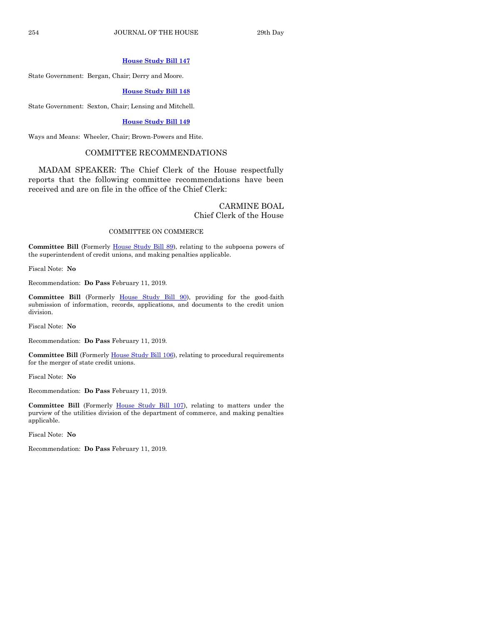#### **[House Study Bill 147](https://www.legis.iowa.gov/legislation/BillBook?ga=88&ba=HSB147)**

State Government: Bergan, Chair; Derry and Moore.

#### **[House Study Bill 148](https://www.legis.iowa.gov/legislation/BillBook?ga=88&ba=HSB148)**

State Government: Sexton, Chair; Lensing and Mitchell.

# **[House Study Bill 149](https://www.legis.iowa.gov/legislation/BillBook?ga=88&ba=HSB149)**

Ways and Means: Wheeler, Chair; Brown-Powers and Hite.

# COMMITTEE RECOMMENDATIONS

MADAM SPEAKER: The Chief Clerk of the House respectfully reports that the following committee recommendations have been received and are on file in the office of the Chief Clerk:

#### CARMINE BOAL Chief Clerk of the House

#### COMMITTEE ON COMMERCE

Committee Bill (Formerly [House Study Bill 89\)](https://www.legis.iowa.gov/legislation/BillBook?ga=88&ba=HSB89), relating to the subpoena powers of the superintendent of credit unions, and making penalties applicable.

Fiscal Note: **No**

Recommendation: **Do Pass** February 11, 2019.

**Committee Bill** (Formerly [House Study Bill 90\)](https://www.legis.iowa.gov/legislation/BillBook?ga=88&ba=HSB90), providing for the good-faith submission of information, records, applications, and documents to the credit union division.

Fiscal Note: **No**

Recommendation: **Do Pass** February 11, 2019.

Committee Bill (Formerl[y House Study Bill 106\)](https://www.legis.iowa.gov/legislation/BillBook?ga=88&ba=HSB106), relating to procedural requirements for the merger of state credit unions.

Fiscal Note: **No**

Recommendation: **Do Pass** February 11, 2019.

**Committee Bill** (Formerly [House Study Bill 107\)](https://www.legis.iowa.gov/legislation/BillBook?ga=88&ba=HSB107), relating to matters under the purview of the utilities division of the department of commerce, and making penalties applicable.

Fiscal Note: **No**

Recommendation: **Do Pass** February 11, 2019.